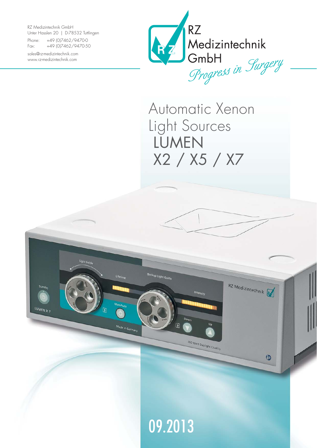RZ Medizintechnik GmbH Unter Hasslen 20 | D-78532 Tuttlingen

Light Guid

LUMEN X 7

Lifetim

Made in German

Phone: +49 (0)7462/9470-0 Fax: +49 (0)7462/9470-50

sales@rz-medizintechnik.com www.rz-medizintechnik.com



Automatic Xenon Light Sources LUMEN X2 / X5 / X7

Intensity

300 Watt Daylight Quality

RZ Medizintechnik

 $\circledcirc$ 



 $\boxed{\mathbf{A}}$ 

Backup Light Guide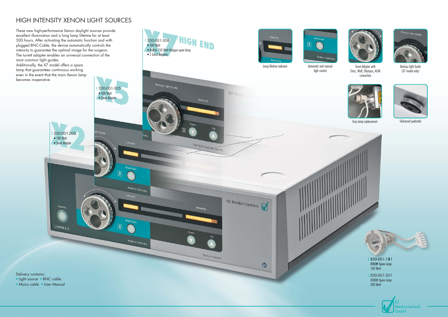## HIGH INTENSITY XENON LIGHT SOURCES





Skid-proof pedestals



Turret Adapter with Storz, Wolf, Olympus, ACMI connection



Backup Light Guide (X7 model only)

• Mains cable • User Manual



I 300-001-301 XENON Spare Lamp 300 Watt





Easy lamp replacement